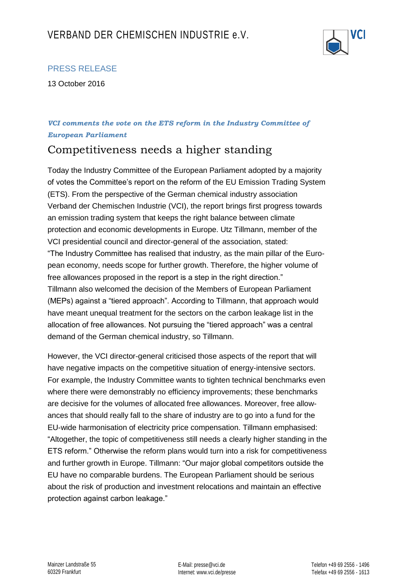

## PRESS RELEASE

13 October 2016

## *VCI comments the vote on the ETS reform in the Industry Committee of European Parliament*

## Competitiveness needs a higher standing

Today the Industry Committee of the European Parliament adopted by a majority of votes the Committee's report on the reform of the EU Emission Trading System (ETS). From the perspective of the German chemical industry association Verband der Chemischen Industrie (VCI), the report brings first progress towards an emission trading system that keeps the right balance between climate protection and economic developments in Europe. Utz Tillmann, member of the VCI presidential council and director-general of the association, stated: "The Industry Committee has realised that industry, as the main pillar of the European economy, needs scope for further growth. Therefore, the higher volume of free allowances proposed in the report is a step in the right direction." Tillmann also welcomed the decision of the Members of European Parliament (MEPs) against a "tiered approach". According to Tillmann, that approach would have meant unequal treatment for the sectors on the carbon leakage list in the allocation of free allowances. Not pursuing the "tiered approach" was a central demand of the German chemical industry, so Tillmann.

However, the VCI director-general criticised those aspects of the report that will have negative impacts on the competitive situation of energy-intensive sectors. For example, the Industry Committee wants to tighten technical benchmarks even where there were demonstrably no efficiency improvements; these benchmarks are decisive for the volumes of allocated free allowances. Moreover, free allowances that should really fall to the share of industry are to go into a fund for the EU-wide harmonisation of electricity price compensation. Tillmann emphasised: "Altogether, the topic of competitiveness still needs a clearly higher standing in the ETS reform." Otherwise the reform plans would turn into a risk for competitiveness and further growth in Europe. Tillmann: "Our major global competitors outside the EU have no comparable burdens. The European Parliament should be serious about the risk of production and investment relocations and maintain an effective protection against carbon leakage."